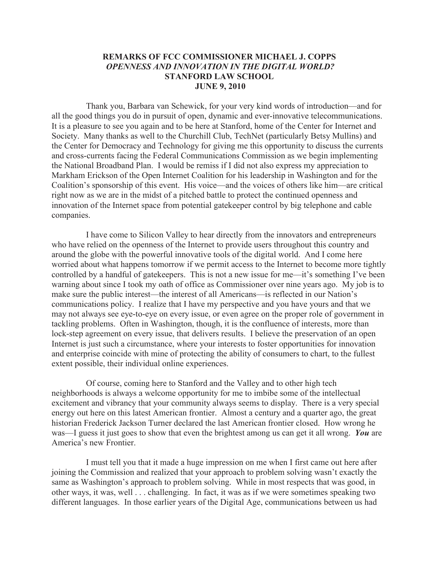## **REMARKS OF FCC COMMISSIONER MICHAEL J. COPPS** *OPENNESS AND INNOVATION IN THE DIGITAL WORLD?* **STANFORD LAW SCHOOL JUNE 9, 2010**

Thank you, Barbara van Schewick, for your very kind words of introduction—and for all the good things you do in pursuit of open, dynamic and ever-innovative telecommunications. It is a pleasure to see you again and to be here at Stanford, home of the Center for Internet and Society. Many thanks as well to the Churchill Club, TechNet (particularly Betsy Mullins) and the Center for Democracy and Technology for giving me this opportunity to discuss the currents and cross-currents facing the Federal Communications Commission as we begin implementing the National Broadband Plan. I would be remiss if I did not also express my appreciation to Markham Erickson of the Open Internet Coalition for his leadership in Washington and for the Coalition's sponsorship of this event. His voice—and the voices of others like him—are critical right now as we are in the midst of a pitched battle to protect the continued openness and innovation of the Internet space from potential gatekeeper control by big telephone and cable companies.

I have come to Silicon Valley to hear directly from the innovators and entrepreneurs who have relied on the openness of the Internet to provide users throughout this country and around the globe with the powerful innovative tools of the digital world. And I come here worried about what happens tomorrow if we permit access to the Internet to become more tightly controlled by a handful of gatekeepers. This is not a new issue for me—it's something I've been warning about since I took my oath of office as Commissioner over nine years ago. My job is to make sure the public interest—the interest of all Americans—is reflected in our Nation's communications policy. I realize that I have my perspective and you have yours and that we may not always see eye-to-eye on every issue, or even agree on the proper role of government in tackling problems. Often in Washington, though, it is the confluence of interests, more than lock-step agreement on every issue, that delivers results. I believe the preservation of an open Internet is just such a circumstance, where your interests to foster opportunities for innovation and enterprise coincide with mine of protecting the ability of consumers to chart, to the fullest extent possible, their individual online experiences.

Of course, coming here to Stanford and the Valley and to other high tech neighborhoods is always a welcome opportunity for me to imbibe some of the intellectual excitement and vibrancy that your community always seems to display. There is a very special energy out here on this latest American frontier. Almost a century and a quarter ago, the great historian Frederick Jackson Turner declared the last American frontier closed. How wrong he was—I guess it just goes to show that even the brightest among us can get it all wrong. *You* are America's new Frontier.

I must tell you that it made a huge impression on me when I first came out here after joining the Commission and realized that your approach to problem solving wasn't exactly the same as Washington's approach to problem solving. While in most respects that was good, in other ways, it was, well . . . challenging. In fact, it was as if we were sometimes speaking two different languages. In those earlier years of the Digital Age, communications between us had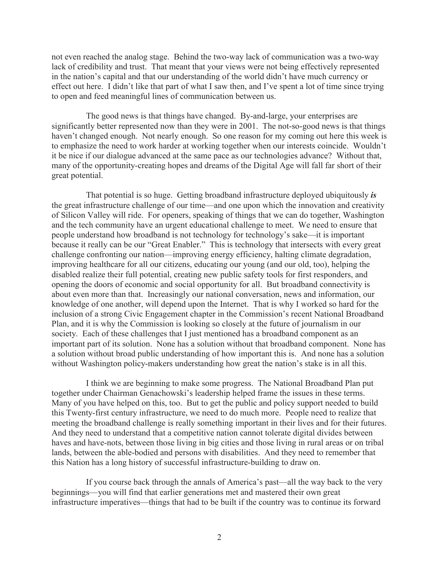not even reached the analog stage. Behind the two-way lack of communication was a two-way lack of credibility and trust. That meant that your views were not being effectively represented in the nation's capital and that our understanding of the world didn't have much currency or effect out here. I didn't like that part of what I saw then, and I've spent a lot of time since trying to open and feed meaningful lines of communication between us.

The good news is that things have changed. By-and-large, your enterprises are significantly better represented now than they were in 2001. The not-so-good news is that things haven't changed enough. Not nearly enough. So one reason for my coming out here this week is to emphasize the need to work harder at working together when our interests coincide. Wouldn't it be nice if our dialogue advanced at the same pace as our technologies advance? Without that, many of the opportunity-creating hopes and dreams of the Digital Age will fall far short of their great potential.

That potential is so huge. Getting broadband infrastructure deployed ubiquitously *is* the great infrastructure challenge of our time—and one upon which the innovation and creativity of Silicon Valley will ride. For openers, speaking of things that we can do together, Washington and the tech community have an urgent educational challenge to meet. We need to ensure that people understand how broadband is not technology for technology's sake—it is important because it really can be our "Great Enabler." This is technology that intersects with every great challenge confronting our nation—improving energy efficiency, halting climate degradation, improving healthcare for all our citizens, educating our young (and our old, too), helping the disabled realize their full potential, creating new public safety tools for first responders, and opening the doors of economic and social opportunity for all. But broadband connectivity is about even more than that. Increasingly our national conversation, news and information, our knowledge of one another, will depend upon the Internet. That is why I worked so hard for the inclusion of a strong Civic Engagement chapter in the Commission's recent National Broadband Plan, and it is why the Commission is looking so closely at the future of journalism in our society. Each of these challenges that I just mentioned has a broadband component as an important part of its solution. None has a solution without that broadband component. None has a solution without broad public understanding of how important this is. And none has a solution without Washington policy-makers understanding how great the nation's stake is in all this.

I think we are beginning to make some progress. The National Broadband Plan put together under Chairman Genachowski's leadership helped frame the issues in these terms. Many of you have helped on this, too. But to get the public and policy support needed to build this Twenty-first century infrastructure, we need to do much more. People need to realize that meeting the broadband challenge is really something important in their lives and for their futures. And they need to understand that a competitive nation cannot tolerate digital divides between haves and have-nots, between those living in big cities and those living in rural areas or on tribal lands, between the able-bodied and persons with disabilities. And they need to remember that this Nation has a long history of successful infrastructure-building to draw on.

If you course back through the annals of America's past—all the way back to the very beginnings—you will find that earlier generations met and mastered their own great infrastructure imperatives—things that had to be built if the country was to continue its forward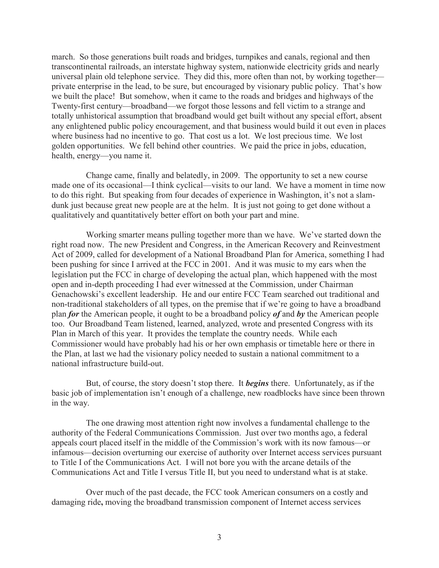march. So those generations built roads and bridges, turnpikes and canals, regional and then transcontinental railroads, an interstate highway system, nationwide electricity grids and nearly universal plain old telephone service. They did this, more often than not, by working together private enterprise in the lead, to be sure, but encouraged by visionary public policy. That's how we built the place! But somehow, when it came to the roads and bridges and highways of the Twenty-first century—broadband—we forgot those lessons and fell victim to a strange and totally unhistorical assumption that broadband would get built without any special effort, absent any enlightened public policy encouragement, and that business would build it out even in places where business had no incentive to go. That cost us a lot. We lost precious time. We lost golden opportunities. We fell behind other countries. We paid the price in jobs, education, health, energy—you name it.

Change came, finally and belatedly, in 2009. The opportunity to set a new course made one of its occasional—I think cyclical—visits to our land. We have a moment in time now to do this right. But speaking from four decades of experience in Washington, it's not a slamdunk just because great new people are at the helm. It is just not going to get done without a qualitatively and quantitatively better effort on both your part and mine.

Working smarter means pulling together more than we have. We've started down the right road now. The new President and Congress, in the American Recovery and Reinvestment Act of 2009, called for development of a National Broadband Plan for America, something I had been pushing for since I arrived at the FCC in 2001. And it was music to my ears when the legislation put the FCC in charge of developing the actual plan, which happened with the most open and in-depth proceeding I had ever witnessed at the Commission, under Chairman Genachowski's excellent leadership. He and our entire FCC Team searched out traditional and non-traditional stakeholders of all types, on the premise that if we're going to have a broadband plan *for* the American people, it ought to be a broadband policy *of* and *by* the American people too. Our Broadband Team listened, learned, analyzed, wrote and presented Congress with its Plan in March of this year. It provides the template the country needs. While each Commissioner would have probably had his or her own emphasis or timetable here or there in the Plan, at last we had the visionary policy needed to sustain a national commitment to a national infrastructure build-out.

But, of course, the story doesn't stop there. It *begins* there. Unfortunately, as if the basic job of implementation isn't enough of a challenge, new roadblocks have since been thrown in the way.

The one drawing most attention right now involves a fundamental challenge to the authority of the Federal Communications Commission. Just over two months ago, a federal appeals court placed itself in the middle of the Commission's work with its now famous—or infamous—decision overturning our exercise of authority over Internet access services pursuant to Title I of the Communications Act. I will not bore you with the arcane details of the Communications Act and Title I versus Title II, but you need to understand what is at stake.

Over much of the past decade, the FCC took American consumers on a costly and damaging ride**,** moving the broadband transmission component of Internet access services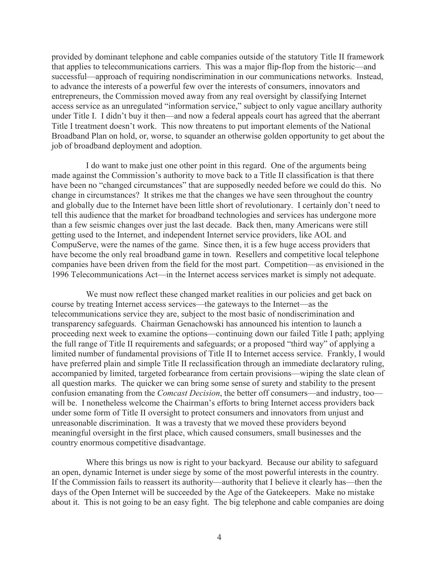provided by dominant telephone and cable companies outside of the statutory Title II framework that applies to telecommunications carriers. This was a major flip-flop from the historic—and successful—approach of requiring nondiscrimination in our communications networks. Instead, to advance the interests of a powerful few over the interests of consumers, innovators and entrepreneurs, the Commission moved away from any real oversight by classifying Internet access service as an unregulated "information service," subject to only vague ancillary authority under Title I. I didn't buy it then—and now a federal appeals court has agreed that the aberrant Title I treatment doesn't work. This now threatens to put important elements of the National Broadband Plan on hold, or, worse, to squander an otherwise golden opportunity to get about the job of broadband deployment and adoption.

I do want to make just one other point in this regard. One of the arguments being made against the Commission's authority to move back to a Title II classification is that there have been no "changed circumstances" that are supposedly needed before we could do this. No change in circumstances? It strikes me that the changes we have seen throughout the country and globally due to the Internet have been little short of revolutionary. I certainly don't need to tell this audience that the market for broadband technologies and services has undergone more than a few seismic changes over just the last decade. Back then, many Americans were still getting used to the Internet, and independent Internet service providers, like AOL and CompuServe, were the names of the game. Since then, it is a few huge access providers that have become the only real broadband game in town. Resellers and competitive local telephone companies have been driven from the field for the most part. Competition—as envisioned in the 1996 Telecommunications Act—in the Internet access services market is simply not adequate.

We must now reflect these changed market realities in our policies and get back on course by treating Internet access services—the gateways to the Internet—as the telecommunications service they are, subject to the most basic of nondiscrimination and transparency safeguards. Chairman Genachowski has announced his intention to launch a proceeding next week to examine the options—continuing down our failed Title I path; applying the full range of Title II requirements and safeguards; or a proposed "third way" of applying a limited number of fundamental provisions of Title II to Internet access service. Frankly, I would have preferred plain and simple Title II reclassification through an immediate declaratory ruling, accompanied by limited, targeted forbearance from certain provisions—wiping the slate clean of all question marks. The quicker we can bring some sense of surety and stability to the present confusion emanating from the *Comcast Decision*, the better off consumers—and industry, too will be. I nonetheless welcome the Chairman's efforts to bring Internet access providers back under some form of Title II oversight to protect consumers and innovators from unjust and unreasonable discrimination. It was a travesty that we moved these providers beyond meaningful oversight in the first place, which caused consumers, small businesses and the country enormous competitive disadvantage.

Where this brings us now is right to your backyard. Because our ability to safeguard an open, dynamic Internet is under siege by some of the most powerful interests in the country. If the Commission fails to reassert its authority—authority that I believe it clearly has—then the days of the Open Internet will be succeeded by the Age of the Gatekeepers. Make no mistake about it. This is not going to be an easy fight. The big telephone and cable companies are doing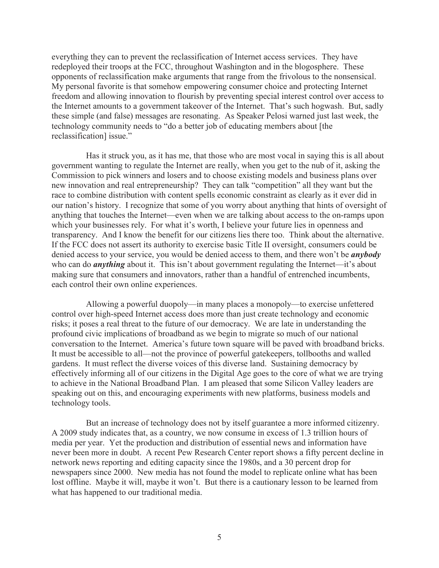everything they can to prevent the reclassification of Internet access services. They have redeployed their troops at the FCC, throughout Washington and in the blogosphere. These opponents of reclassification make arguments that range from the frivolous to the nonsensical. My personal favorite is that somehow empowering consumer choice and protecting Internet freedom and allowing innovation to flourish by preventing special interest control over access to the Internet amounts to a government takeover of the Internet. That's such hogwash. But, sadly these simple (and false) messages are resonating. As Speaker Pelosi warned just last week, the technology community needs to "do a better job of educating members about [the reclassification] issue."

Has it struck you, as it has me, that those who are most vocal in saying this is all about government wanting to regulate the Internet are really, when you get to the nub of it, asking the Commission to pick winners and losers and to choose existing models and business plans over new innovation and real entrepreneurship? They can talk "competition" all they want but the race to combine distribution with content spells economic constraint as clearly as it ever did in our nation's history. I recognize that some of you worry about anything that hints of oversight of anything that touches the Internet—even when we are talking about access to the on-ramps upon which your businesses rely. For what it's worth, I believe your future lies in openness and transparency. And I know the benefit for our citizens lies there too. Think about the alternative. If the FCC does not assert its authority to exercise basic Title II oversight, consumers could be denied access to your service, you would be denied access to them, and there won't be *anybody* who can do *anything* about it. This isn't about government regulating the Internet—it's about making sure that consumers and innovators, rather than a handful of entrenched incumbents, each control their own online experiences.

Allowing a powerful duopoly—in many places a monopoly—to exercise unfettered control over high-speed Internet access does more than just create technology and economic risks; it poses a real threat to the future of our democracy. We are late in understanding the profound civic implications of broadband as we begin to migrate so much of our national conversation to the Internet. America's future town square will be paved with broadband bricks. It must be accessible to all—not the province of powerful gatekeepers, tollbooths and walled gardens. It must reflect the diverse voices of this diverse land. Sustaining democracy by effectively informing all of our citizens in the Digital Age goes to the core of what we are trying to achieve in the National Broadband Plan. I am pleased that some Silicon Valley leaders are speaking out on this, and encouraging experiments with new platforms, business models and technology tools.

But an increase of technology does not by itself guarantee a more informed citizenry. A 2009 study indicates that, as a country, we now consume in excess of 1.3 trillion hours of media per year. Yet the production and distribution of essential news and information have never been more in doubt. A recent Pew Research Center report shows a fifty percent decline in network news reporting and editing capacity since the 1980s, and a 30 percent drop for newspapers since 2000. New media has not found the model to replicate online what has been lost offline. Maybe it will, maybe it won't. But there is a cautionary lesson to be learned from what has happened to our traditional media.